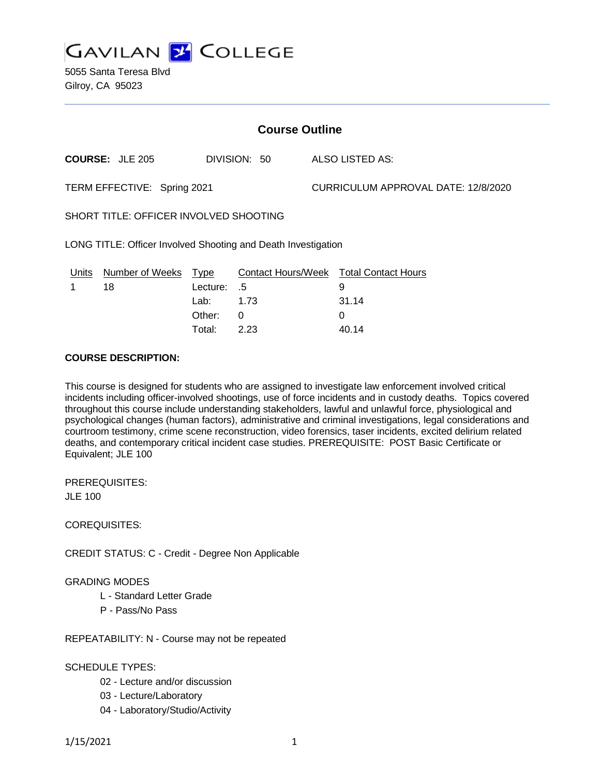

5055 Santa Teresa Blvd Gilroy, CA 95023

| <b>Course Outline</b>                                         |                        |             |                           |  |                                     |  |
|---------------------------------------------------------------|------------------------|-------------|---------------------------|--|-------------------------------------|--|
|                                                               | <b>COURSE: JLE 205</b> |             | DIVISION: 50              |  | ALSO LISTED AS:                     |  |
| TERM EFFECTIVE: Spring 2021                                   |                        |             |                           |  | CURRICULUM APPROVAL DATE: 12/8/2020 |  |
| SHORT TITLE: OFFICER INVOLVED SHOOTING                        |                        |             |                           |  |                                     |  |
| LONG TITLE: Officer Involved Shooting and Death Investigation |                        |             |                           |  |                                     |  |
| Units                                                         | Number of Weeks        | <u>Type</u> | <b>Contact Hours/Week</b> |  | <b>Total Contact Hours</b>          |  |
|                                                               | 18                     | Lecture:    | .5                        |  | 9                                   |  |
|                                                               |                        | Lab:        | 1.73                      |  | 31.14                               |  |
|                                                               |                        | Other:      | 0                         |  | 0                                   |  |

Total: 2.23 40.14

#### **COURSE DESCRIPTION:**

This course is designed for students who are assigned to investigate law enforcement involved critical incidents including officer-involved shootings, use of force incidents and in custody deaths. Topics covered throughout this course include understanding stakeholders, lawful and unlawful force, physiological and psychological changes (human factors), administrative and criminal investigations, legal considerations and courtroom testimony, crime scene reconstruction, video forensics, taser incidents, excited delirium related deaths, and contemporary critical incident case studies. PREREQUISITE: POST Basic Certificate or Equivalent; JLE 100

PREREQUISITES: JLE 100

COREQUISITES:

CREDIT STATUS: C - Credit - Degree Non Applicable

### GRADING MODES

- L Standard Letter Grade
- P Pass/No Pass

REPEATABILITY: N - Course may not be repeated

#### SCHEDULE TYPES:

- 02 Lecture and/or discussion
- 03 Lecture/Laboratory
- 04 Laboratory/Studio/Activity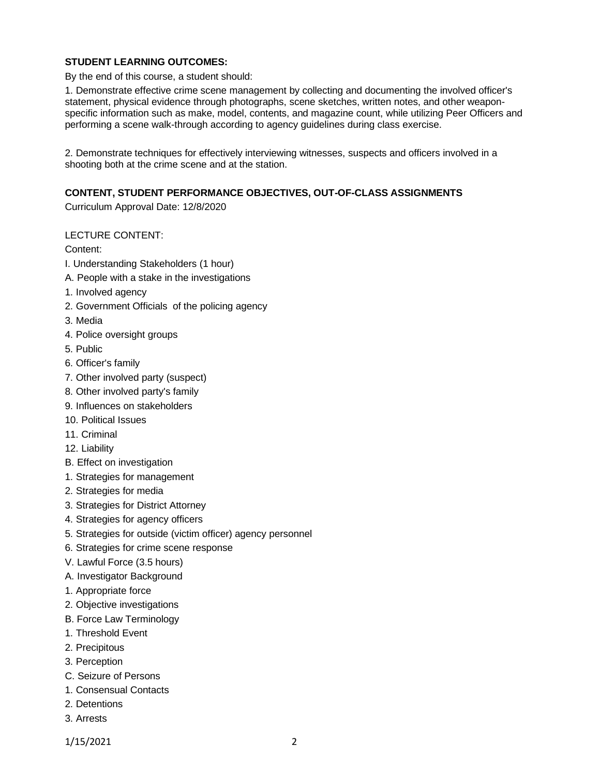## **STUDENT LEARNING OUTCOMES:**

By the end of this course, a student should:

1. Demonstrate effective crime scene management by collecting and documenting the involved officer's statement, physical evidence through photographs, scene sketches, written notes, and other weaponspecific information such as make, model, contents, and magazine count, while utilizing Peer Officers and performing a scene walk-through according to agency guidelines during class exercise.

2. Demonstrate techniques for effectively interviewing witnesses, suspects and officers involved in a shooting both at the crime scene and at the station.

### **CONTENT, STUDENT PERFORMANCE OBJECTIVES, OUT-OF-CLASS ASSIGNMENTS**

Curriculum Approval Date: 12/8/2020

### LECTURE CONTENT:

Content:

- I. Understanding Stakeholders (1 hour)
- A. People with a stake in the investigations
- 1. Involved agency
- 2. Government Officials of the policing agency
- 3. Media
- 4. Police oversight groups
- 5. Public
- 6. Officer's family
- 7. Other involved party (suspect)
- 8. Other involved party's family
- 9. Influences on stakeholders
- 10. Political Issues
- 11. Criminal
- 12. Liability
- B. Effect on investigation
- 1. Strategies for management
- 2. Strategies for media
- 3. Strategies for District Attorney
- 4. Strategies for agency officers
- 5. Strategies for outside (victim officer) agency personnel
- 6. Strategies for crime scene response
- V. Lawful Force (3.5 hours)
- A. Investigator Background
- 1. Appropriate force
- 2. Objective investigations
- B. Force Law Terminology
- 1. Threshold Event
- 2. Precipitous
- 3. Perception
- C. Seizure of Persons
- 1. Consensual Contacts
- 2. Detentions
- 3. Arrests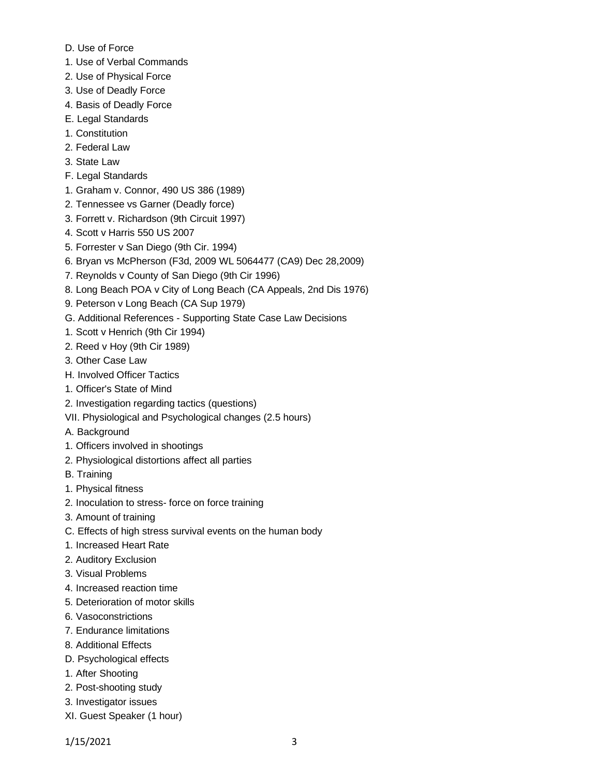- D. Use of Force
- 1. Use of Verbal Commands
- 2. Use of Physical Force
- 3. Use of Deadly Force
- 4. Basis of Deadly Force
- E. Legal Standards
- 1. Constitution
- 2. Federal Law
- 3. State Law
- F. Legal Standards
- 1. Graham v. Connor, 490 US 386 (1989)
- 2. Tennessee vs Garner (Deadly force)
- 3. Forrett v. Richardson (9th Circuit 1997)
- 4. Scott v Harris 550 US 2007
- 5. Forrester v San Diego (9th Cir. 1994)
- 6. Bryan vs McPherson (F3d, 2009 WL 5064477 (CA9) Dec 28,2009)
- 7. Reynolds v County of San Diego (9th Cir 1996)
- 8. Long Beach POA v City of Long Beach (CA Appeals, 2nd Dis 1976)
- 9. Peterson v Long Beach (CA Sup 1979)
- G. Additional References Supporting State Case Law Decisions
- 1. Scott v Henrich (9th Cir 1994)
- 2. Reed v Hoy (9th Cir 1989)
- 3. Other Case Law
- H. Involved Officer Tactics
- 1. Officer's State of Mind
- 2. Investigation regarding tactics (questions)
- VII. Physiological and Psychological changes (2.5 hours)
- A. Background
- 1. Officers involved in shootings
- 2. Physiological distortions affect all parties
- B. Training
- 1. Physical fitness
- 2. Inoculation to stress- force on force training
- 3. Amount of training
- C. Effects of high stress survival events on the human body
- 1. Increased Heart Rate
- 2. Auditory Exclusion
- 3. Visual Problems
- 4. Increased reaction time
- 5. Deterioration of motor skills
- 6. Vasoconstrictions
- 7. Endurance limitations
- 8. Additional Effects
- D. Psychological effects
- 1. After Shooting
- 2. Post-shooting study
- 3. Investigator issues
- XI. Guest Speaker (1 hour)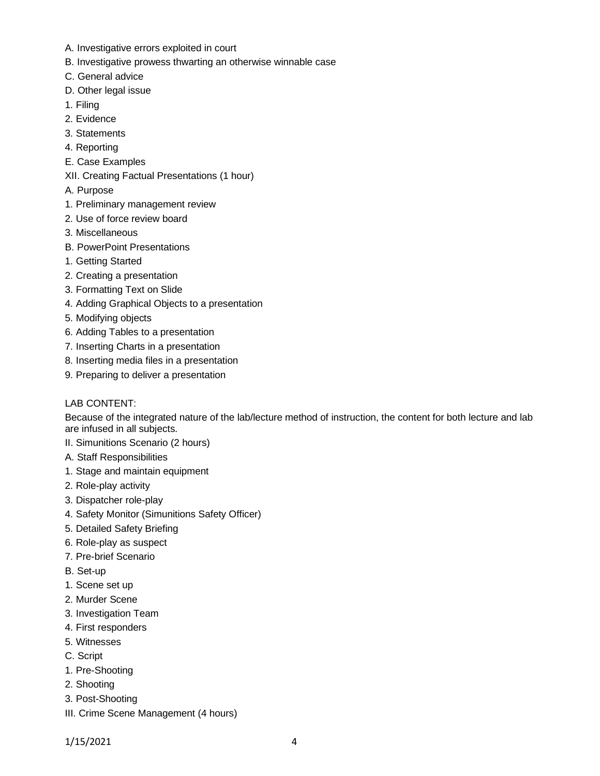- A. Investigative errors exploited in court
- B. Investigative prowess thwarting an otherwise winnable case
- C. General advice
- D. Other legal issue
- 1. Filing
- 2. Evidence
- 3. Statements
- 4. Reporting
- E. Case Examples
- XII. Creating Factual Presentations (1 hour)
- A. Purpose
- 1. Preliminary management review
- 2. Use of force review board
- 3. Miscellaneous
- B. PowerPoint Presentations
- 1. Getting Started
- 2. Creating a presentation
- 3. Formatting Text on Slide
- 4. Adding Graphical Objects to a presentation
- 5. Modifying objects
- 6. Adding Tables to a presentation
- 7. Inserting Charts in a presentation
- 8. Inserting media files in a presentation
- 9. Preparing to deliver a presentation

### LAB CONTENT:

Because of the integrated nature of the lab/lecture method of instruction, the content for both lecture and lab are infused in all subjects.

- II. Simunitions Scenario (2 hours)
- A. Staff Responsibilities
- 1. Stage and maintain equipment
- 2. Role-play activity
- 3. Dispatcher role-play
- 4. Safety Monitor (Simunitions Safety Officer)
- 5. Detailed Safety Briefing
- 6. Role-play as suspect
- 7. Pre-brief Scenario
- B. Set-up
- 1. Scene set up
- 2. Murder Scene
- 3. Investigation Team
- 4. First responders
- 5. Witnesses
- C. Script
- 1. Pre-Shooting
- 2. Shooting
- 3. Post-Shooting
- III. Crime Scene Management (4 hours)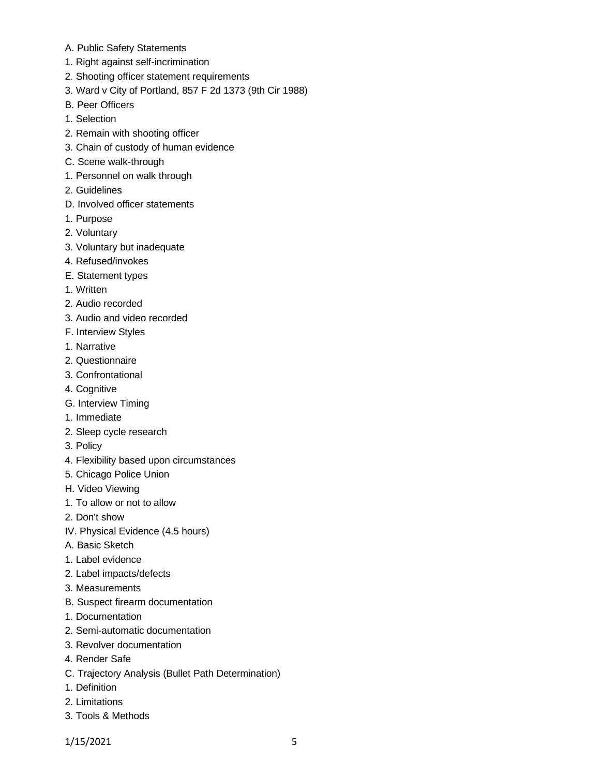- A. Public Safety Statements
- 1. Right against self-incrimination
- 2. Shooting officer statement requirements
- 3. Ward v City of Portland, 857 F 2d 1373 (9th Cir 1988)
- B. Peer Officers
- 1. Selection
- 2. Remain with shooting officer
- 3. Chain of custody of human evidence
- C. Scene walk-through
- 1. Personnel on walk through
- 2. Guidelines
- D. Involved officer statements
- 1. Purpose
- 2. Voluntary
- 3. Voluntary but inadequate
- 4. Refused/invokes
- E. Statement types
- 1. Written
- 2. Audio recorded
- 3. Audio and video recorded
- F. Interview Styles
- 1. Narrative
- 2. Questionnaire
- 3. Confrontational
- 4. Cognitive
- G. Interview Timing
- 1. Immediate
- 2. Sleep cycle research
- 3. Policy
- 4. Flexibility based upon circumstances
- 5. Chicago Police Union
- H. Video Viewing
- 1. To allow or not to allow
- 2. Don't show
- IV. Physical Evidence (4.5 hours)
- A. Basic Sketch
- 1. Label evidence
- 2. Label impacts/defects
- 3. Measurements
- B. Suspect firearm documentation
- 1. Documentation
- 2. Semi-automatic documentation
- 3. Revolver documentation
- 4. Render Safe
- C. Trajectory Analysis (Bullet Path Determination)
- 1. Definition
- 2. Limitations
- 3. Tools & Methods

1/15/2021 5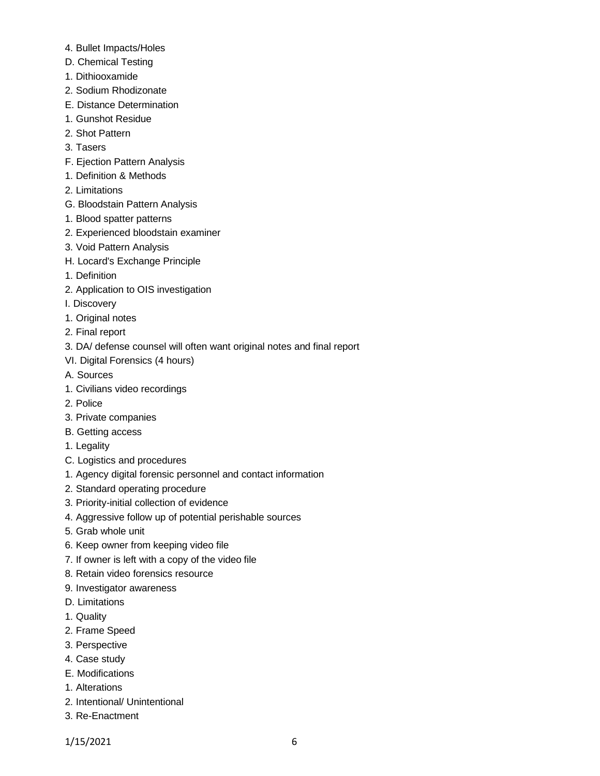- 4. Bullet Impacts/Holes
- D. Chemical Testing
- 1. Dithiooxamide
- 2. Sodium Rhodizonate
- E. Distance Determination
- 1. Gunshot Residue
- 2. Shot Pattern
- 3. Tasers
- F. Ejection Pattern Analysis
- 1. Definition & Methods
- 2. Limitations
- G. Bloodstain Pattern Analysis
- 1. Blood spatter patterns
- 2. Experienced bloodstain examiner
- 3. Void Pattern Analysis
- H. Locard's Exchange Principle
- 1. Definition
- 2. Application to OIS investigation
- I. Discovery
- 1. Original notes
- 2. Final report
- 3. DA/ defense counsel will often want original notes and final report
- VI. Digital Forensics (4 hours)
- A. Sources
- 1. Civilians video recordings
- 2. Police
- 3. Private companies
- B. Getting access
- 1. Legality
- C. Logistics and procedures
- 1. Agency digital forensic personnel and contact information
- 2. Standard operating procedure
- 3. Priority-initial collection of evidence
- 4. Aggressive follow up of potential perishable sources
- 5. Grab whole unit
- 6. Keep owner from keeping video file
- 7. If owner is left with a copy of the video file
- 8. Retain video forensics resource
- 9. Investigator awareness
- D. Limitations
- 1. Quality
- 2. Frame Speed
- 3. Perspective
- 4. Case study
- E. Modifications
- 1. Alterations
- 2. Intentional/ Unintentional
- 3. Re-Enactment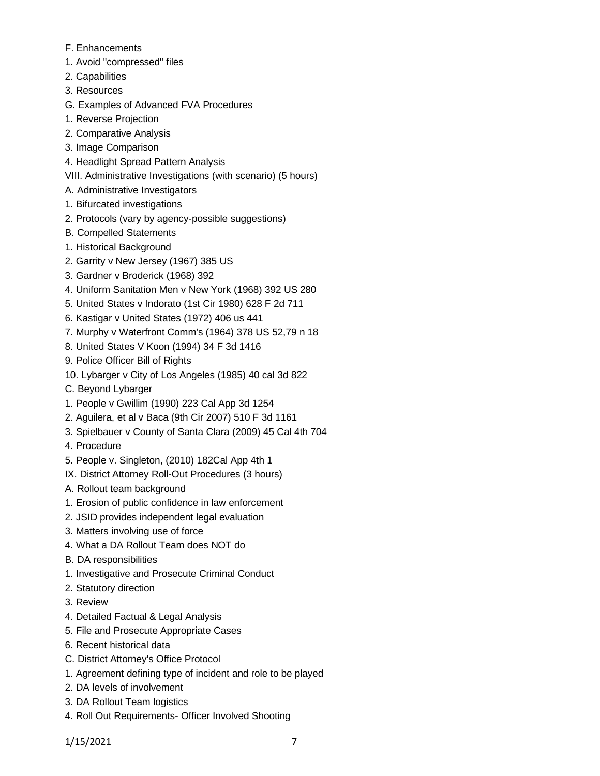- F. Enhancements
- 1. Avoid "compressed" files
- 2. Capabilities
- 3. Resources
- G. Examples of Advanced FVA Procedures
- 1. Reverse Projection
- 2. Comparative Analysis
- 3. Image Comparison
- 4. Headlight Spread Pattern Analysis
- VIII. Administrative Investigations (with scenario) (5 hours)
- A. Administrative Investigators
- 1. Bifurcated investigations
- 2. Protocols (vary by agency-possible suggestions)
- B. Compelled Statements
- 1. Historical Background
- 2. Garrity v New Jersey (1967) 385 US
- 3. Gardner v Broderick (1968) 392
- 4. Uniform Sanitation Men v New York (1968) 392 US 280
- 5. United States v Indorato (1st Cir 1980) 628 F 2d 711
- 6. Kastigar v United States (1972) 406 us 441
- 7. Murphy v Waterfront Comm's (1964) 378 US 52,79 n 18
- 8. United States V Koon (1994) 34 F 3d 1416
- 9. Police Officer Bill of Rights
- 10. Lybarger v City of Los Angeles (1985) 40 cal 3d 822
- C. Beyond Lybarger
- 1. People v Gwillim (1990) 223 Cal App 3d 1254
- 2. Aguilera, et al v Baca (9th Cir 2007) 510 F 3d 1161
- 3. Spielbauer v County of Santa Clara (2009) 45 Cal 4th 704
- 4. Procedure
- 5. People v. Singleton, (2010) 182Cal App 4th 1
- IX. District Attorney Roll-Out Procedures (3 hours)
- A. Rollout team background
- 1. Erosion of public confidence in law enforcement
- 2. JSID provides independent legal evaluation
- 3. Matters involving use of force
- 4. What a DA Rollout Team does NOT do
- B. DA responsibilities
- 1. Investigative and Prosecute Criminal Conduct
- 2. Statutory direction
- 3. Review
- 4. Detailed Factual & Legal Analysis
- 5. File and Prosecute Appropriate Cases
- 6. Recent historical data
- C. District Attorney's Office Protocol
- 1. Agreement defining type of incident and role to be played
- 2. DA levels of involvement
- 3. DA Rollout Team logistics
- 4. Roll Out Requirements- Officer Involved Shooting

1/15/2021 7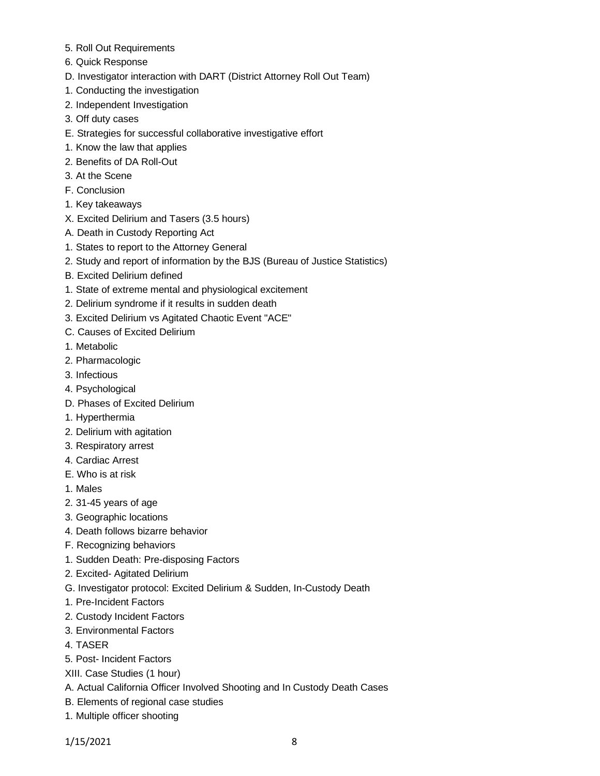- 5. Roll Out Requirements
- 6. Quick Response
- D. Investigator interaction with DART (District Attorney Roll Out Team)
- 1. Conducting the investigation
- 2. Independent Investigation
- 3. Off duty cases
- E. Strategies for successful collaborative investigative effort
- 1. Know the law that applies
- 2. Benefits of DA Roll-Out
- 3. At the Scene
- F. Conclusion
- 1. Key takeaways
- X. Excited Delirium and Tasers (3.5 hours)
- A. Death in Custody Reporting Act
- 1. States to report to the Attorney General
- 2. Study and report of information by the BJS (Bureau of Justice Statistics)
- B. Excited Delirium defined
- 1. State of extreme mental and physiological excitement
- 2. Delirium syndrome if it results in sudden death
- 3. Excited Delirium vs Agitated Chaotic Event "ACE"
- C. Causes of Excited Delirium
- 1. Metabolic
- 2. Pharmacologic
- 3. Infectious
- 4. Psychological
- D. Phases of Excited Delirium
- 1. Hyperthermia
- 2. Delirium with agitation
- 3. Respiratory arrest
- 4. Cardiac Arrest
- E. Who is at risk
- 1. Males
- 2. 31-45 years of age
- 3. Geographic locations
- 4. Death follows bizarre behavior
- F. Recognizing behaviors
- 1. Sudden Death: Pre-disposing Factors
- 2. Excited- Agitated Delirium
- G. Investigator protocol: Excited Delirium & Sudden, In-Custody Death
- 1. Pre-Incident Factors
- 2. Custody Incident Factors
- 3. Environmental Factors
- 4. TASER
- 5. Post- Incident Factors
- XIII. Case Studies (1 hour)
- A. Actual California Officer Involved Shooting and In Custody Death Cases
- B. Elements of regional case studies
- 1. Multiple officer shooting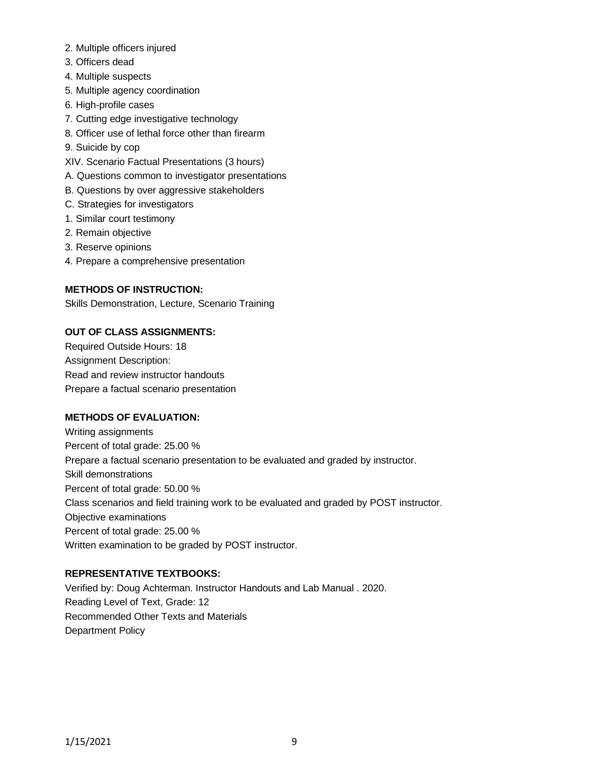- 2. Multiple officers injured
- 3. Officers dead
- 4. Multiple suspects
- 5. Multiple agency coordination
- 6. High-profile cases
- 7. Cutting edge investigative technology
- 8. Officer use of lethal force other than firearm
- 9. Suicide by cop
- XIV. Scenario Factual Presentations (3 hours)
- A. Questions common to investigator presentations
- B. Questions by over aggressive stakeholders
- C. Strategies for investigators
- 1. Similar court testimony
- 2. Remain objective
- 3. Reserve opinions
- 4. Prepare a comprehensive presentation

## **METHODS OF INSTRUCTION:**

Skills Demonstration, Lecture, Scenario Training

## **OUT OF CLASS ASSIGNMENTS:**

Required Outside Hours: 18 Assignment Description: Read and review instructor handouts Prepare a factual scenario presentation

# **METHODS OF EVALUATION:**

Writing assignments Percent of total grade: 25.00 % Prepare a factual scenario presentation to be evaluated and graded by instructor. Skill demonstrations Percent of total grade: 50.00 % Class scenarios and field training work to be evaluated and graded by POST instructor. Objective examinations Percent of total grade: 25.00 % Written examination to be graded by POST instructor.

### **REPRESENTATIVE TEXTBOOKS:**

Verified by: Doug Achterman. Instructor Handouts and Lab Manual . 2020. Reading Level of Text, Grade: 12 Recommended Other Texts and Materials Department Policy